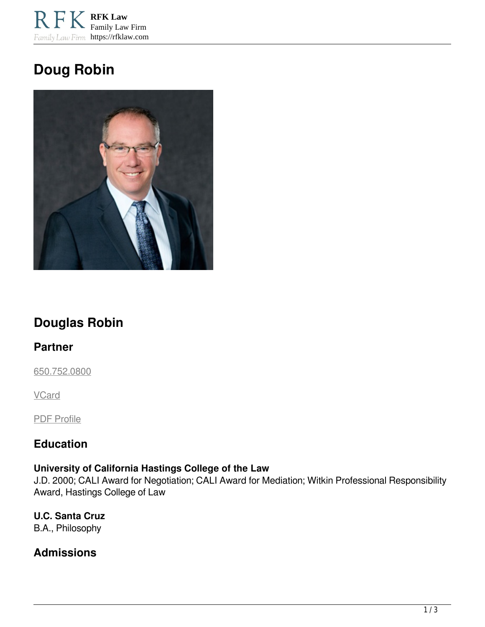**RFK Law** Family Law Firm Family Law Firm https://rfklaw.com

# **Doug Robin**



## **Douglas Robin**

#### **Partner**

[650.752.0800](tel:6507520800)

**VCard** 

PDF Profile

## **Education**

#### **University of California Hastings College of the Law**

J.D. 2000; CALI Award for Negotiation; CALI Award for Mediation; Witkin Professional Responsibility Award, Hastings College of Law

**U.C. Santa Cruz**  B.A., Philosophy

## **Admissions**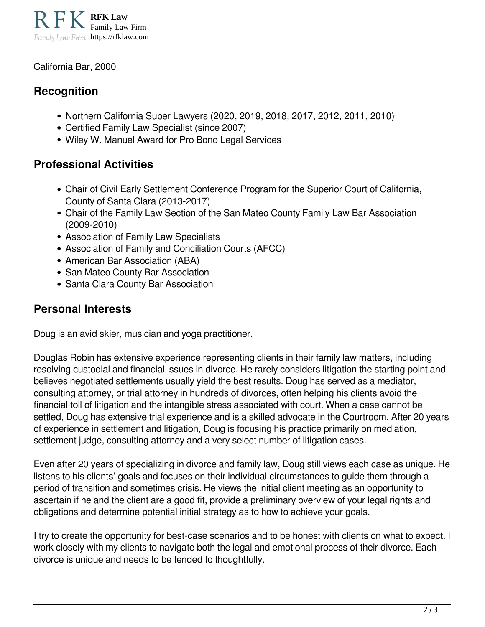California Bar, 2000

### **Recognition**

- Northern California Super Lawyers (2020, 2019, 2018, 2017, 2012, 2011, 2010)
- Certified Family Law Specialist (since 2007)
- Wiley W. Manuel Award for Pro Bono Legal Services

## **Professional Activities**

- Chair of Civil Early Settlement Conference Program for the Superior Court of California, County of Santa Clara (2013-2017)
- Chair of the Family Law Section of the San Mateo County Family Law Bar Association (2009-2010)
- Association of Family Law Specialists
- Association of Family and Conciliation Courts (AFCC)
- American Bar Association (ABA)
- San Mateo County Bar Association
- Santa Clara County Bar Association

## **Personal Interests**

Doug is an avid skier, musician and yoga practitioner.

Douglas Robin has extensive experience representing clients in their family law matters, including resolving custodial and financial issues in divorce. He rarely considers litigation the starting point and believes negotiated settlements usually yield the best results. Doug has served as a mediator, consulting attorney, or trial attorney in hundreds of divorces, often helping his clients avoid the financial toll of litigation and the intangible stress associated with court. When a case cannot be settled, Doug has extensive trial experience and is a skilled advocate in the Courtroom. After 20 years of experience in settlement and litigation, Doug is focusing his practice primarily on mediation, settlement judge, consulting attorney and a very select number of litigation cases.

Even after 20 years of specializing in divorce and family law, Doug still views each case as unique. He listens to his clients' goals and focuses on their individual circumstances to guide them through a period of transition and sometimes crisis. He views the initial client meeting as an opportunity to ascertain if he and the client are a good fit, provide a preliminary overview of your legal rights and obligations and determine potential initial strategy as to how to achieve your goals.

I try to create the opportunity for best-case scenarios and to be honest with clients on what to expect. I work closely with my clients to navigate both the legal and emotional process of their divorce. Each divorce is unique and needs to be tended to thoughtfully.